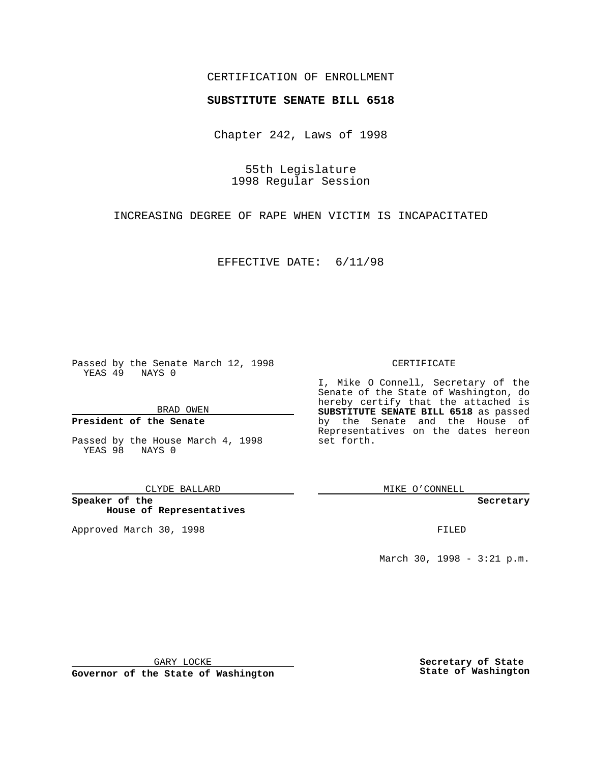## CERTIFICATION OF ENROLLMENT

# **SUBSTITUTE SENATE BILL 6518**

Chapter 242, Laws of 1998

55th Legislature 1998 Regular Session

INCREASING DEGREE OF RAPE WHEN VICTIM IS INCAPACITATED

EFFECTIVE DATE: 6/11/98

Passed by the Senate March 12, 1998 YEAS 49 NAYS 0

BRAD OWEN

### **President of the Senate**

Passed by the House March 4, 1998 YEAS 98 NAYS 0

CLYDE BALLARD

**Speaker of the House of Representatives**

Approved March 30, 1998 **FILED** 

#### CERTIFICATE

I, Mike O Connell, Secretary of the Senate of the State of Washington, do hereby certify that the attached is **SUBSTITUTE SENATE BILL 6518** as passed by the Senate and the House of Representatives on the dates hereon set forth.

MIKE O'CONNELL

**Secretary**

March 30, 1998 - 3:21 p.m.

GARY LOCKE

**Governor of the State of Washington**

**Secretary of State State of Washington**